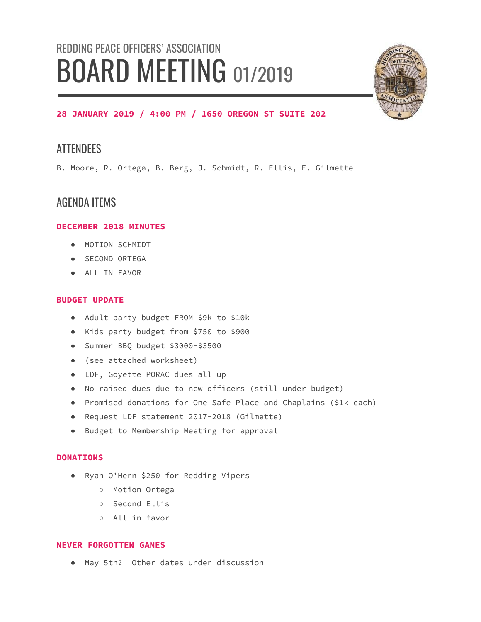# REDDING PEACE OFFICERS' ASSOCIATION BOARD MEETING 01/2019



# **28 JANUARY 2019 / 4:00 PM / 1650 OREGON ST SUITE 202**

# **ATTENDEES**

B. Moore, R. Ortega, B. Berg, J. Schmidt, R. Ellis, E. Gilmette

# AGENDA ITEMS

## **DECEMBER 2018 MINUTES**

- MOTION SCHMIDT
- SECOND ORTEGA
- ALL IN FAVOR

## **BUDGET UPDATE**

- Adult party budget FROM \$9k to \$10k
- Kids party budget from \$750 to \$900
- Summer BBQ budget \$3000-\$3500
- (see attached worksheet)
- LDF, Goyette PORAC dues all up
- No raised dues due to new officers (still under budget)
- Promised donations for One Safe Place and Chaplains (\$1k each)
- Request LDF statement 2017-2018 (Gilmette)
- Budget to Membership Meeting for approval

#### **DONATIONS**

- Ryan O'Hern \$250 for Redding Vipers
	- Motion Ortega
	- Second Ellis
	- All in favor

#### **NEVER FORGOTTEN GAMES**

● May 5th? Other dates under discussion